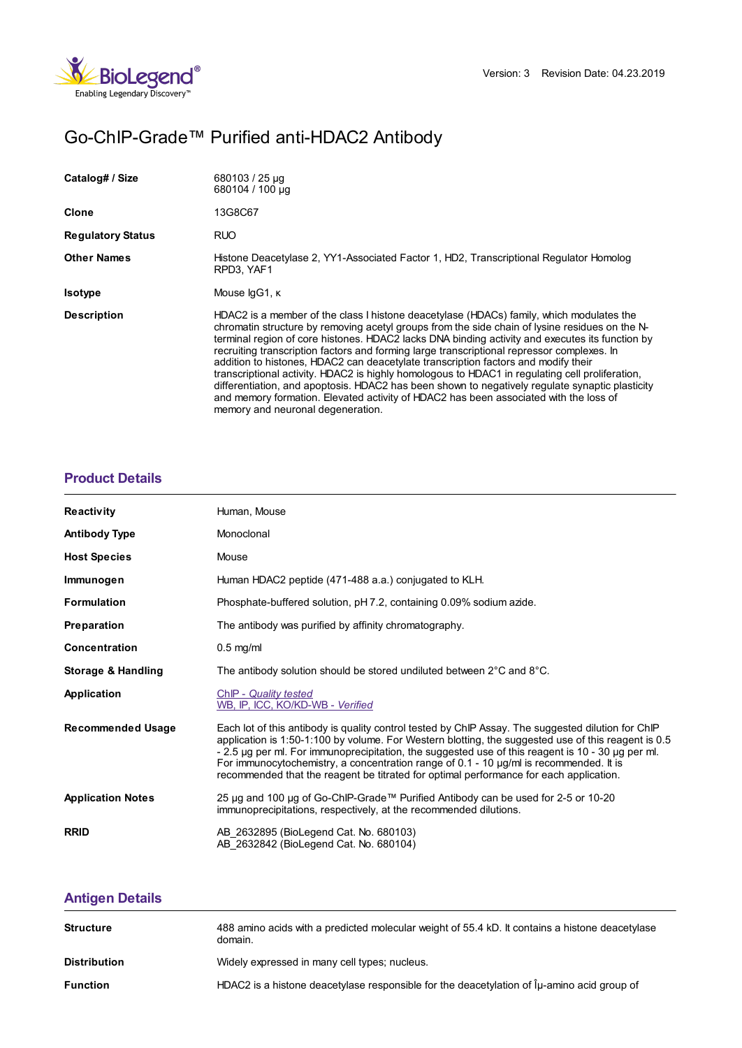

# Go-ChIP-Grade™ Purified anti-HDAC2 Antibody

| Catalog# / Size          | 680103 / 25 µg<br>680104 / 100 µg                                                                                                                                                                                                                                                                                                                                                                                                                                                                                                                                                                                                                                                                                                                                                                                     |
|--------------------------|-----------------------------------------------------------------------------------------------------------------------------------------------------------------------------------------------------------------------------------------------------------------------------------------------------------------------------------------------------------------------------------------------------------------------------------------------------------------------------------------------------------------------------------------------------------------------------------------------------------------------------------------------------------------------------------------------------------------------------------------------------------------------------------------------------------------------|
| Clone                    | 13G8C67                                                                                                                                                                                                                                                                                                                                                                                                                                                                                                                                                                                                                                                                                                                                                                                                               |
| <b>Regulatory Status</b> | <b>RUO</b>                                                                                                                                                                                                                                                                                                                                                                                                                                                                                                                                                                                                                                                                                                                                                                                                            |
| <b>Other Names</b>       | Histone Deacetylase 2, YY1-Associated Factor 1, HD2, Transcriptional Requlator Homolog<br>RPD3, YAF1                                                                                                                                                                                                                                                                                                                                                                                                                                                                                                                                                                                                                                                                                                                  |
| <b>Isotype</b>           | Mouse IgG1, K                                                                                                                                                                                                                                                                                                                                                                                                                                                                                                                                                                                                                                                                                                                                                                                                         |
| <b>Description</b>       | HDAC2 is a member of the class I histone deacetylase (HDACs) family, which modulates the<br>chromatin structure by removing acetyl groups from the side chain of lysine residues on the N-<br>terminal region of core histones. HDAC2 lacks DNA binding activity and executes its function by<br>recruiting transcription factors and forming large transcriptional repressor complexes. In<br>addition to histones, HDAC2 can deacetylate transcription factors and modify their<br>transcriptional activity. HDAC2 is highly homologous to HDAC1 in regulating cell proliferation,<br>differentiation, and apoptosis. HDAC2 has been shown to negatively regulate synaptic plasticity<br>and memory formation. Elevated activity of HDAC2 has been associated with the loss of<br>memory and neuronal degeneration. |

### **[Product](https://www.biolegend.com/de-at/products/go-chip-grade-purified-anti-hdac2-antibody-13875?pdf=true&displayInline=true&leftRightMargin=15&topBottomMargin=15&filename=Go-ChIP-Grade%EF%BF%BD%EF%BF%BD%EF%BF%BD Purified anti-HDAC2 Antibody.pdf#productDetails) Details**

| <b>Reactivity</b>             | Human, Mouse                                                                                                                                                                                                                                                                                                                                                                                                                                                                                              |
|-------------------------------|-----------------------------------------------------------------------------------------------------------------------------------------------------------------------------------------------------------------------------------------------------------------------------------------------------------------------------------------------------------------------------------------------------------------------------------------------------------------------------------------------------------|
| <b>Antibody Type</b>          | Monoclonal                                                                                                                                                                                                                                                                                                                                                                                                                                                                                                |
| <b>Host Species</b>           | Mouse                                                                                                                                                                                                                                                                                                                                                                                                                                                                                                     |
| Immunogen                     | Human HDAC2 peptide (471-488 a.a.) conjugated to KLH.                                                                                                                                                                                                                                                                                                                                                                                                                                                     |
| <b>Formulation</b>            | Phosphate-buffered solution, pH 7.2, containing 0.09% sodium azide.                                                                                                                                                                                                                                                                                                                                                                                                                                       |
| Preparation                   | The antibody was purified by affinity chromatography.                                                                                                                                                                                                                                                                                                                                                                                                                                                     |
| <b>Concentration</b>          | $0.5$ mg/ml                                                                                                                                                                                                                                                                                                                                                                                                                                                                                               |
| <b>Storage &amp; Handling</b> | The antibody solution should be stored undiluted between 2°C and 8°C.                                                                                                                                                                                                                                                                                                                                                                                                                                     |
| Application                   | ChIP - Quality tested<br>WB, IP, ICC, KO/KD-WB - Verified                                                                                                                                                                                                                                                                                                                                                                                                                                                 |
| <b>Recommended Usage</b>      | Each lot of this antibody is quality control tested by ChIP Assay. The suggested dilution for ChIP<br>application is 1:50-1:100 by volume. For Western blotting, the suggested use of this reagent is 0.5<br>- 2.5 µg per ml. For immunoprecipitation, the suggested use of this reagent is 10 - 30 µg per ml.<br>For immunocytochemistry, a concentration range of $0.1$ - 10 $\mu$ g/ml is recommended. It is<br>recommended that the reagent be titrated for optimal performance for each application. |
| <b>Application Notes</b>      | 25 µg and 100 µg of Go-ChIP-Grade™ Purified Antibody can be used for 2-5 or 10-20<br>immunoprecipitations, respectively, at the recommended dilutions.                                                                                                                                                                                                                                                                                                                                                    |
| <b>RRID</b>                   | AB 2632895 (BioLegend Cat. No. 680103)<br>AB 2632842 (BioLegend Cat. No. 680104)                                                                                                                                                                                                                                                                                                                                                                                                                          |

## **[Antigen](https://www.biolegend.com/de-at/products/go-chip-grade-purified-anti-hdac2-antibody-13875?pdf=true&displayInline=true&leftRightMargin=15&topBottomMargin=15&filename=Go-ChIP-Grade%EF%BF%BD%EF%BF%BD%EF%BF%BD Purified anti-HDAC2 Antibody.pdf#antigenDetails) Details**

| <b>Structure</b>    | 488 amino acids with a predicted molecular weight of 55.4 kD. It contains a histone deacetylase<br>domain. |
|---------------------|------------------------------------------------------------------------------------------------------------|
| <b>Distribution</b> | Widely expressed in many cell types; nucleus.                                                              |
| <b>Function</b>     | HDAC2 is a histone deacetylase responsible for the deacetylation of $\hat{I}_{\mu}$ -amino acid group of   |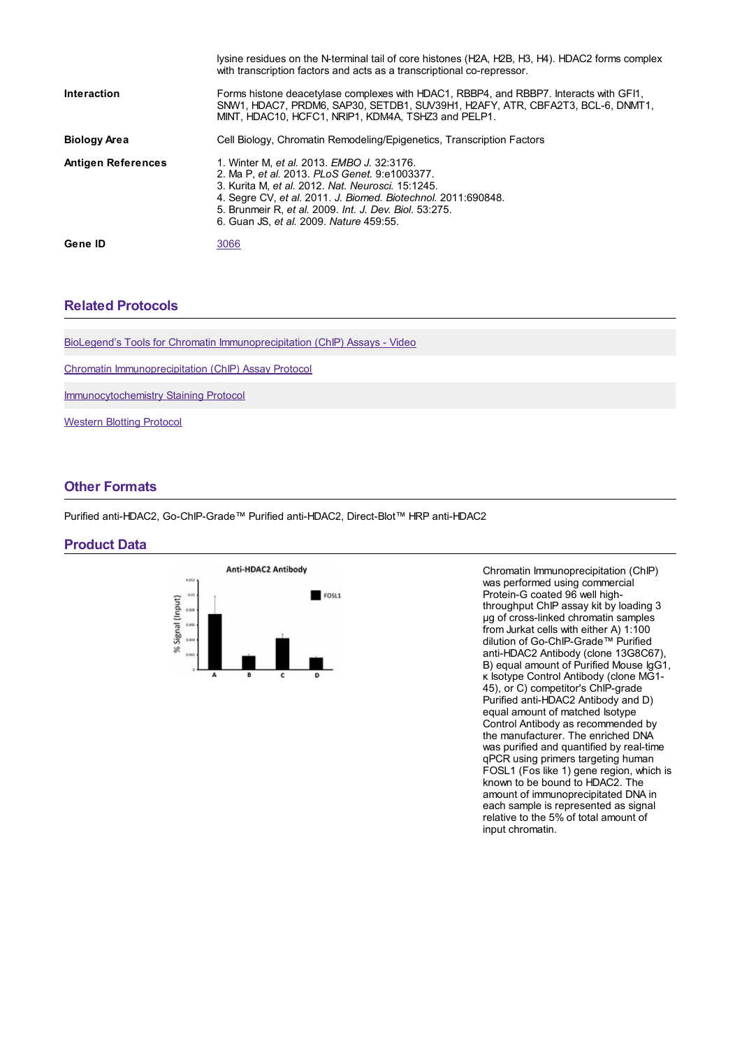|                           | lysine residues on the N-terminal tail of core histones (H2A, H2B, H3, H4). HDAC2 forms complex<br>with transcription factors and acts as a transcriptional co-repressor.                                                                                                                                              |
|---------------------------|------------------------------------------------------------------------------------------------------------------------------------------------------------------------------------------------------------------------------------------------------------------------------------------------------------------------|
| <b>Interaction</b>        | Forms histone deacetylase complexes with HDAC1, RBBP4, and RBBP7. Interacts with GF11,<br>SNW1, HDAC7, PRDM6, SAP30, SETDB1, SUV39H1, H2AFY, ATR, CBFA2T3, BCL-6, DNMT1,<br>MINT. HDAC10. HCFC1. NRIP1. KDM4A. TSHZ3 and PELP1.                                                                                        |
| <b>Biology Area</b>       | Cell Biology, Chromatin Remodeling/Epigenetics, Transcription Factors                                                                                                                                                                                                                                                  |
| <b>Antigen References</b> | 1. Winter M, et al. 2013. EMBO J. 32:3176.<br>2. Ma P. et al. 2013. PLoS Genet. 9:e1003377.<br>3. Kurita M. et al. 2012. Nat. Neurosci. 15:1245.<br>4. Segre CV, et al. 2011. J. Biomed. Biotechnol. 2011:690848.<br>5. Brunmeir R, et al. 2009. Int. J. Dev. Biol. 53:275.<br>6. Guan JS, et al. 2009. Nature 459:55. |
| Gene ID                   | 3066                                                                                                                                                                                                                                                                                                                   |

#### **Related [Protocols](https://www.biolegend.com/de-at/products/go-chip-grade-purified-anti-hdac2-antibody-13875?pdf=true&displayInline=true&leftRightMargin=15&topBottomMargin=15&filename=Go-ChIP-Grade%EF%BF%BD%EF%BF%BD%EF%BF%BD Purified anti-HDAC2 Antibody.pdf#productRelatedProtocols)**

BioLegend's Tools for Chromatin [Immunoprecipitation](https://www.biolegend.com/newsdetail/tools-for-chromatin-immunoprecipitation-chip-assays/4807/) (ChIP) Assays - Video

Chromatin [Immunoprecipitation](https://www.biolegend.com/protocols/chromatin-immunoprecipitation-chip-assay-protocol/4306/) (ChIP) Assay Protocol

[Immunocytochemistry](https://www.biolegend.com/protocols/immunocytochemistry-staining-protocol/4275/) Staining Protocol

[Western](https://www.biolegend.com/protocols/western-blotting-protocol/4269/) Blotting Protocol

#### **Other [Formats](https://www.biolegend.com/de-at/products/go-chip-grade-purified-anti-hdac2-antibody-13875?pdf=true&displayInline=true&leftRightMargin=15&topBottomMargin=15&filename=Go-ChIP-Grade%EF%BF%BD%EF%BF%BD%EF%BF%BD Purified anti-HDAC2 Antibody.pdf#productOtherFormats)**

Purified anti-HDAC2, Go-ChIP-Grade™ Purified anti-HDAC2, Direct-Blot™ HRP anti-HDAC2

#### **Product Data**



Chromatin Immunoprecipitation (ChIP) was performed using commercial Protein-G coated 96 well highthroughput ChIP assay kit by loading 3 µg of cross-linked chromatin samples from Jurkat cells with either A) 1:100 dilution of Go-ChIP-Grade™ Purified anti-HDAC2 Antibody (clone 13G8C67), B) equal amount of Purified Mouse IgG1, κ Isotype Control Antibody (clone MG1- 45), or C) competitor's ChIP-grade Purified anti-HDAC2 Antibody and D) equal amount of matched Isotype Control Antibody as recommended by the manufacturer. The enriched DNA was purified and quantified by real-time qPCR using primers targeting human FOSL1 (Fos like 1) gene region, which is known to be bound to HDAC2. The amount of immunoprecipitated DNA in each sample is represented as signal relative to the 5% of total amount of input chromatin.